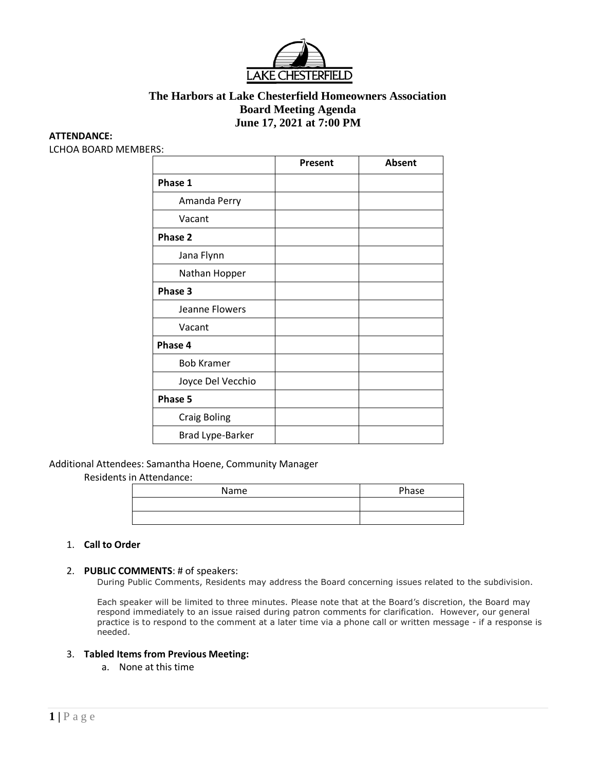

# **The Harbors at Lake Chesterfield Homeowners Association Board Meeting Agenda June 17, 2021 at 7:00 PM**

#### **ATTENDANCE:**

LCHOA BOARD MEMBERS:

|                     | Present | <b>Absent</b> |
|---------------------|---------|---------------|
| Phase 1             |         |               |
| Amanda Perry        |         |               |
| Vacant              |         |               |
| Phase 2             |         |               |
| Jana Flynn          |         |               |
| Nathan Hopper       |         |               |
| Phase 3             |         |               |
| Jeanne Flowers      |         |               |
| Vacant              |         |               |
| Phase 4             |         |               |
| <b>Bob Kramer</b>   |         |               |
| Joyce Del Vecchio   |         |               |
| Phase 5             |         |               |
| <b>Craig Boling</b> |         |               |
| Brad Lype-Barker    |         |               |

#### Additional Attendees: Samantha Hoene, Community Manager

Residents in Attendance:

| Name | Phase |
|------|-------|
|      |       |
|      |       |

#### 1. **Call to Order**

#### 2. **PUBLIC COMMENTS**: # of speakers:

During Public Comments, Residents may address the Board concerning issues related to the subdivision.

Each speaker will be limited to three minutes. Please note that at the Board's discretion, the Board may respond immediately to an issue raised during patron comments for clarification. However, our general practice is to respond to the comment at a later time via a phone call or written message - if a response is needed.

#### 3. **Tabled Items from Previous Meeting:**

a. None at this time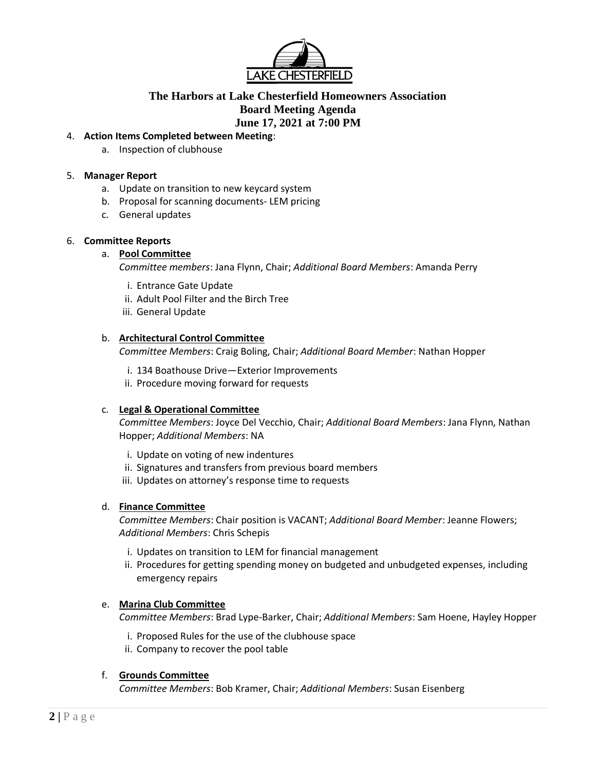

# **The Harbors at Lake Chesterfield Homeowners Association Board Meeting Agenda June 17, 2021 at 7:00 PM**

## 4. **Action Items Completed between Meeting**:

a. Inspection of clubhouse

## 5. **Manager Report**

- a. Update on transition to new keycard system
- b. Proposal for scanning documents- LEM pricing
- c. General updates

## 6. **Committee Reports**

## a. **Pool Committee**

*Committee members*: Jana Flynn, Chair; *Additional Board Members*: Amanda Perry

- i. Entrance Gate Update
- ii. Adult Pool Filter and the Birch Tree
- iii. General Update

## b. **Architectural Control Committee**

*Committee Members*: Craig Boling, Chair; *Additional Board Member*: Nathan Hopper

- i. 134 Boathouse Drive—Exterior Improvements
- ii. Procedure moving forward for requests

## c. **Legal & Operational Committee**

*Committee Members*: Joyce Del Vecchio, Chair; *Additional Board Members*: Jana Flynn, Nathan Hopper; *Additional Members*: NA

- i. Update on voting of new indentures
- ii. Signatures and transfers from previous board members
- iii. Updates on attorney's response time to requests

## d. **Finance Committee**

*Committee Members*: Chair position is VACANT; *Additional Board Member*: Jeanne Flowers; *Additional Members*: Chris Schepis

- i. Updates on transition to LEM for financial management
- ii. Procedures for getting spending money on budgeted and unbudgeted expenses, including emergency repairs

## e. **Marina Club Committee**

*Committee Members*: Brad Lype-Barker, Chair; *Additional Members*: Sam Hoene, Hayley Hopper

- i. Proposed Rules for the use of the clubhouse space
- ii. Company to recover the pool table

## f. **Grounds Committee**

*Committee Members*: Bob Kramer, Chair; *Additional Members*: Susan Eisenberg